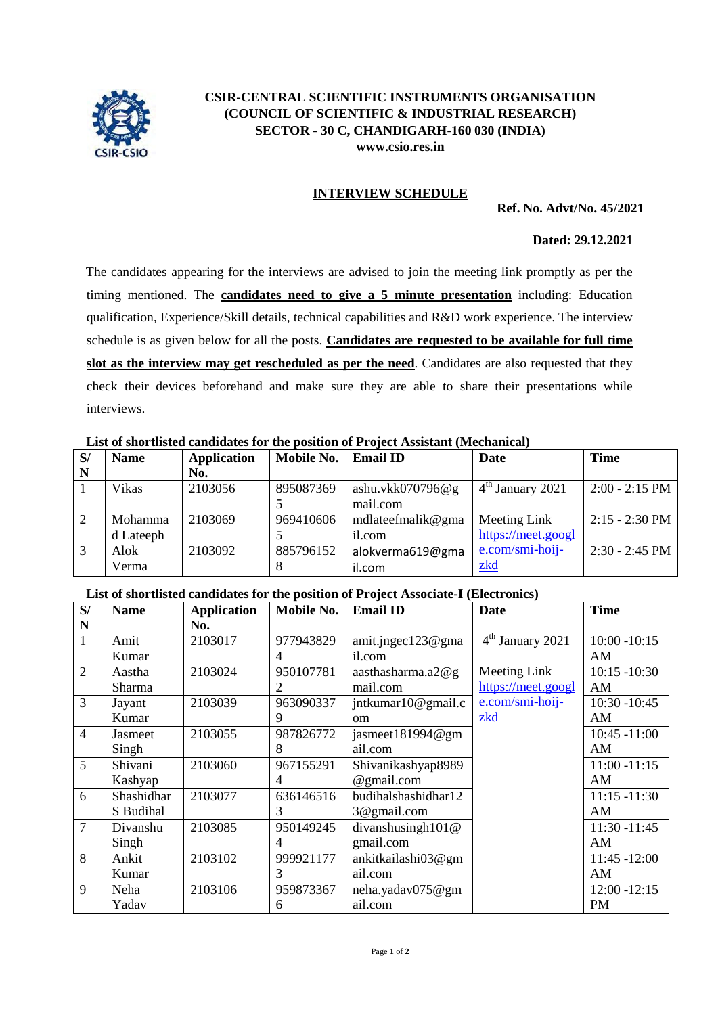

# **CSIR-CENTRAL SCIENTIFIC INSTRUMENTS ORGANISATION (COUNCIL OF SCIENTIFIC & INDUSTRIAL RESEARCH) SECTOR - 30 C, CHANDIGARH-160 030 (INDIA) [www.csio.res.in](http://www.csio.res.in/)**

## **INTERVIEW SCHEDULE**

**Ref. No. Advt/No. 45/2021**

### **Dated: 29.12.2021**

The candidates appearing for the interviews are advised to join the meeting link promptly as per the timing mentioned. The **candidates need to give a 5 minute presentation** including: Education qualification, Experience/Skill details, technical capabilities and R&D work experience. The interview schedule is as given below for all the posts. **Candidates are requested to be available for full time slot as the interview may get rescheduled as per the need**. Candidates are also requested that they check their devices beforehand and make sure they are able to share their presentations while interviews.

### **List of shortlisted candidates for the position of Project Assistant (Mechanical)**

| S/ | <b>Name</b>  | <b>Application</b> | Mobile No. | <b>Email ID</b>     | Date               | <b>Time</b>      |
|----|--------------|--------------------|------------|---------------------|--------------------|------------------|
|    |              | No.                |            |                     |                    |                  |
|    | <b>Vikas</b> | 2103056            | 895087369  | ashu.vkk070796 $@g$ | $4th$ January 2021 | $2:00 - 2:15$ PM |
|    |              |                    |            | mail.com            |                    |                  |
| 2  | Mohamma      | 2103069            | 969410606  | mdlateefmalik@gma   | Meeting Link       | $2:15 - 2:30$ PM |
|    | d Lateeph    |                    |            | il.com              | https://meet.googl |                  |
| 3  | Alok         | 2103092            | 885796152  | alokverma619@gma    | e.com/smi-hoij-    | $2:30 - 2:45$ PM |
|    | Verma        |                    |            | il.com              | zkd                |                  |

#### **List of shortlisted candidates for the position of Project Associate-I (Electronics)**

| S/             | <b>Name</b> | <b>Application</b> | Mobile No. | <b>Email ID</b>       | <b>Date</b>        | <b>Time</b>     |
|----------------|-------------|--------------------|------------|-----------------------|--------------------|-----------------|
| N              |             | No.                |            |                       |                    |                 |
| 1              | Amit        | 2103017            | 977943829  | amit.jngec $123@$ gma | $4th$ January 2021 | $10:00 - 10:15$ |
|                | Kumar       |                    | 4          | il.com                |                    | AM              |
| $\overline{2}$ | Aastha      | 2103024            | 950107781  | aasthasharma. $a2@g$  | Meeting Link       | $10:15 - 10:30$ |
|                | Sharma      |                    | 2          | mail.com              | https://meet.googl | AM              |
| 3              | Jayant      | 2103039            | 963090337  | jntkumar10@gmail.c    | e.com/smi-hoij-    | $10:30 - 10:45$ |
|                | Kumar       |                    | 9          | <sub>om</sub>         | zkd                | AM              |
| 4              | Jasmeet     | 2103055            | 987826772  | jasmeet181994@gm      |                    | $10:45 - 11:00$ |
|                | Singh       |                    | 8          | ail.com               |                    | AM              |
| 5              | Shivani     | 2103060            | 967155291  | Shivanikashyap8989    |                    | $11:00 - 11:15$ |
|                | Kashyap     |                    | 4          | @gmail.com            |                    | AM              |
| 6              | Shashidhar  | 2103077            | 636146516  | budihalshashidhar12   |                    | $11:15 - 11:30$ |
|                | S Budihal   |                    | 3          | 3@gmail.com           |                    | AM              |
| $\overline{7}$ | Divanshu    | 2103085            | 950149245  | divanshusingh101@     |                    | $11:30 - 11:45$ |
|                | Singh       |                    | 4          | gmail.com             |                    | AM              |
| 8              | Ankit       | 2103102            | 999921177  | ankitkailashi03@gm    |                    | $11:45 - 12:00$ |
|                | Kumar       |                    | 3          | ail.com               |                    | AM              |
| 9              | Neha        | 2103106            | 959873367  | neha.yadav075@gm      |                    | $12:00 - 12:15$ |
|                | Yadav       |                    | 6          | ail.com               |                    | PM              |